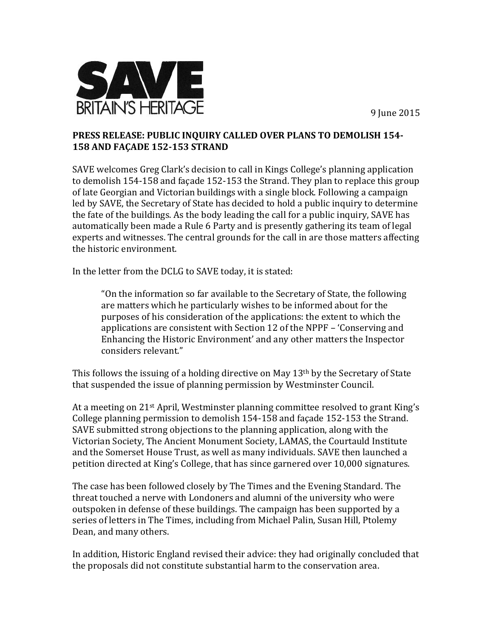9 June 2015



## **PRESS RELEASE: PUBLIC INQUIRY CALLED OVER PLANS TO DEMOLISH 154- 158 AND FAÇADE 152-153 STRAND**

SAVE welcomes Greg Clark's decision to call in Kings College's planning application to demolish 154-158 and façade 152-153 the Strand. They plan to replace this group of late Georgian and Victorian buildings with a single block. Following a campaign led by SAVE, the Secretary of State has decided to hold a public inquiry to determine the fate of the buildings. As the body leading the call for a public inquiry, SAVE has automatically been made a Rule 6 Party and is presently gathering its team of legal experts and witnesses. The central grounds for the call in are those matters affecting the historic environment.

In the letter from the DCLG to SAVE today, it is stated:

"On the information so far available to the Secretary of State, the following are matters which he particularly wishes to be informed about for the purposes of his consideration of the applications: the extent to which the applications are consistent with Section 12 of the NPPF – 'Conserving and Enhancing the Historic Environment' and any other matters the Inspector considers relevant."

This follows the issuing of a holding directive on May 13<sup>th</sup> by the Secretary of State that suspended the issue of planning permission by Westminster Council.

At a meeting on 21<sup>st</sup> April, Westminster planning committee resolved to grant King's College planning permission to demolish 154-158 and façade 152-153 the Strand. SAVE submitted strong objections to the planning application, along with the Victorian Society, The Ancient Monument Society, LAMAS, the Courtauld Institute and the Somerset House Trust, as well as many individuals. SAVE then launched a petition directed at King's College, that has since garnered over 10,000 signatures.

The case has been followed closely by The Times and the Evening Standard. The threat touched a nerve with Londoners and alumni of the university who were outspoken in defense of these buildings. The campaign has been supported by a series of letters in The Times, including from Michael Palin, Susan Hill, Ptolemy Dean, and many others.

In addition, Historic England revised their advice: they had originally concluded that the proposals did not constitute substantial harm to the conservation area.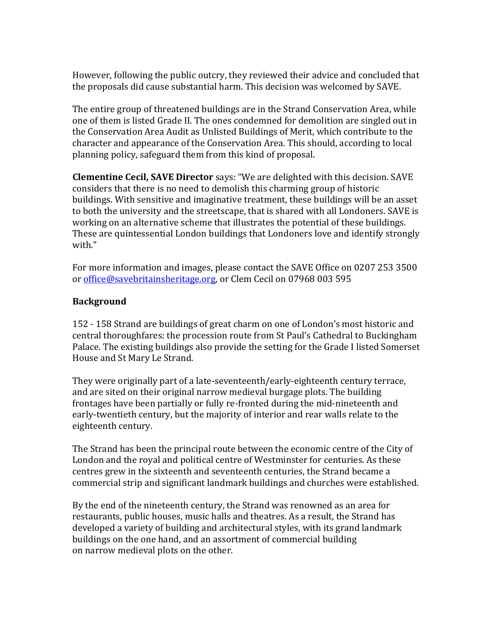However, following the public outcry, they reviewed their advice and concluded that the proposals did cause substantial harm. This decision was welcomed by SAVE.

The entire group of threatened buildings are in the Strand Conservation Area, while one of them is listed Grade II. The ones condemned for demolition are singled out in the Conservation Area Audit as Unlisted Buildings of Merit, which contribute to the character and appearance of the Conservation Area. This should, according to local planning policy, safeguard them from this kind of proposal.

**Clementine Cecil, SAVE Director** says: "We are delighted with this decision. SAVE considers that there is no need to demolish this charming group of historic buildings. With sensitive and imaginative treatment, these buildings will be an asset to both the university and the streetscape, that is shared with all Londoners. SAVE is working on an alternative scheme that illustrates the potential of these buildings. These are quintessential London buildings that Londoners love and identify strongly with."

For more information and images, please contact the SAVE Office on 0207 253 3500 or [office@savebritainsheritage.org,](mailto:office@savebritainsheritage.org) or Clem Cecil on 07968 003 595

## **Background**

152 - 158 Strand are buildings of great charm on one of London's most historic and central thoroughfares: the procession route from St Paul's Cathedral to Buckingham Palace. The existing buildings also provide the setting for the Grade I listed Somerset House and St Mary Le Strand.

They were originally part of a late-seventeenth/early-eighteenth century terrace, and are sited on their original narrow medieval burgage plots. The building frontages have been partially or fully re-fronted during the mid-nineteenth and early-twentieth century, but the majority of interior and rear walls relate to the eighteenth century.

The Strand has been the principal route between the economic centre of the City of London and the royal and political centre of Westminster for centuries. As these centres grew in the sixteenth and seventeenth centuries, the Strand became a commercial strip and significant landmark buildings and churches were established.

By the end of the nineteenth century, the Strand was renowned as an area for restaurants, public houses, music halls and theatres. As a result, the Strand has developed a variety of building and architectural styles, with its grand landmark buildings on the one hand, and an assortment of commercial building on narrow medieval plots on the other.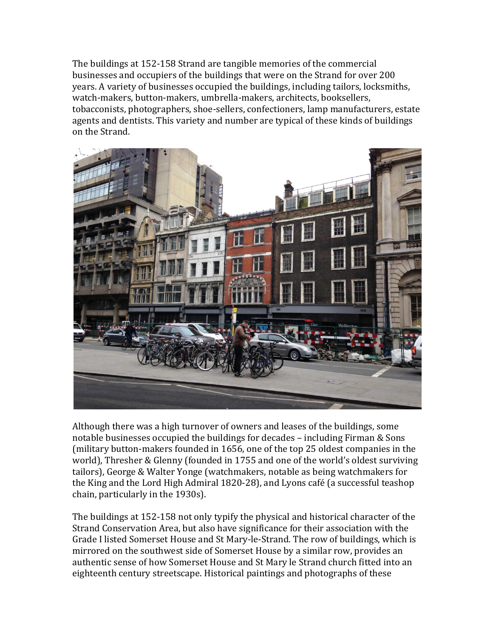The buildings at 152-158 Strand are tangible memories of the commercial businesses and occupiers of the buildings that were on the Strand for over 200 years. A variety of businesses occupied the buildings, including tailors, locksmiths, watch-makers, button-makers, umbrella-makers, architects, booksellers, tobacconists, photographers, shoe-sellers, confectioners, lamp manufacturers, estate agents and dentists. This variety and number are typical of these kinds of buildings on the Strand.



Although there was a high turnover of owners and leases of the buildings, some notable businesses occupied the buildings for decades – including Firman & Sons (military button-makers founded in 1656, one of the top 25 oldest companies in the world), Thresher & Glenny (founded in 1755 and one of the world's oldest surviving tailors), George & Walter Yonge (watchmakers, notable as being watchmakers for the King and the Lord High Admiral 1820-28), and Lyons café (a successful teashop chain, particularly in the 1930s).

The buildings at 152-158 not only typify the physical and historical character of the Strand Conservation Area, but also have significance for their association with the Grade I listed Somerset House and St Mary-le-Strand. The row of buildings, which is mirrored on the southwest side of Somerset House by a similar row, provides an authentic sense of how Somerset House and St Mary le Strand church fitted into an eighteenth century streetscape. Historical paintings and photographs of these